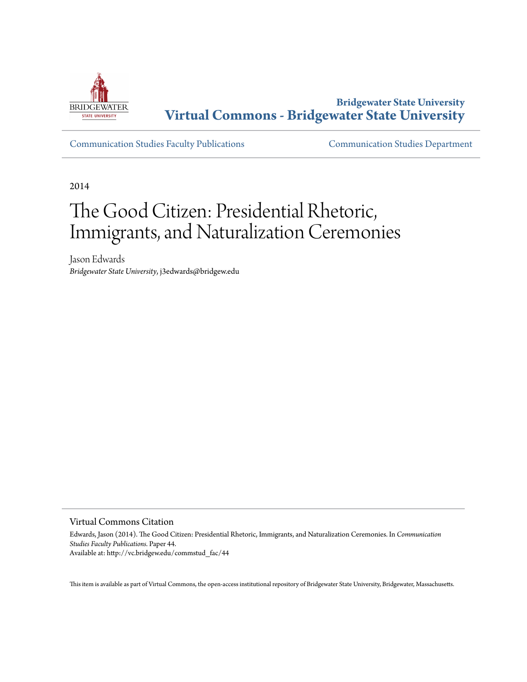

**Bridgewater State University [Virtual Commons - Bridgewater State University](http://vc.bridgew.edu)**

[Communication Studies Faculty Publications](http://vc.bridgew.edu/commstud_fac) [Communication Studies Department](http://vc.bridgew.edu/commstud)

2014

# The Good Citizen: Presidential Rhetoric, Immigrants, and Naturalization Ceremonies

Jason Edwards *Bridgewater State University*, j3edwards@bridgew.edu

Virtual Commons Citation

Edwards, Jason (2014). The Good Citizen: Presidential Rhetoric, Immigrants, and Naturalization Ceremonies. In *Communication Studies Faculty Publications.* Paper 44. Available at: http://vc.bridgew.edu/commstud\_fac/44

This item is available as part of Virtual Commons, the open-access institutional repository of Bridgewater State University, Bridgewater, Massachusetts.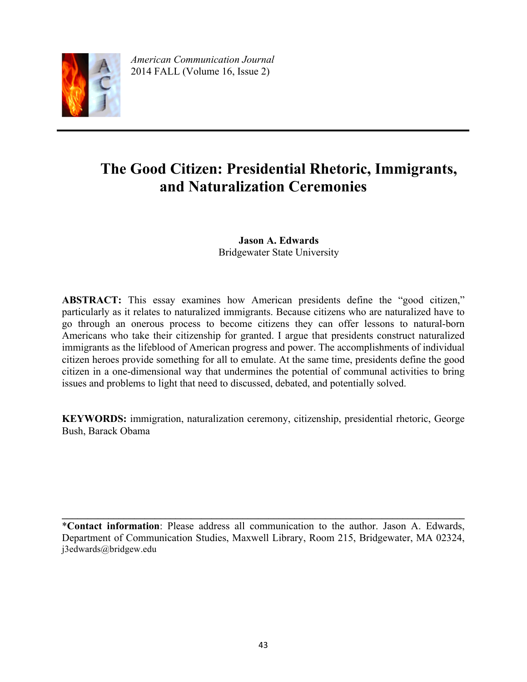

*American Communication Journal* 2014 FALL (Volume 16, Issue 2)

## **The Good Citizen: Presidential Rhetoric, Immigrants, and Naturalization Ceremonies**

**Jason A. Edwards** Bridgewater State University

**ABSTRACT:** This essay examines how American presidents define the "good citizen," particularly as it relates to naturalized immigrants. Because citizens who are naturalized have to go through an onerous process to become citizens they can offer lessons to natural-born Americans who take their citizenship for granted. I argue that presidents construct naturalized immigrants as the lifeblood of American progress and power. The accomplishments of individual citizen heroes provide something for all to emulate. At the same time, presidents define the good citizen in a one-dimensional way that undermines the potential of communal activities to bring issues and problems to light that need to discussed, debated, and potentially solved.

**KEYWORDS:** immigration, naturalization ceremony, citizenship, presidential rhetoric, George Bush, Barack Obama

\***Contact information**: Please address all communication to the author. Jason A. Edwards, Department of Communication Studies, Maxwell Library, Room 215, Bridgewater, MA 02324, j3edwards@bridgew.edu

 $\mathcal{L}_\mathcal{L} = \{ \mathcal{L}_\mathcal{L} = \{ \mathcal{L}_\mathcal{L} = \{ \mathcal{L}_\mathcal{L} = \{ \mathcal{L}_\mathcal{L} = \{ \mathcal{L}_\mathcal{L} = \{ \mathcal{L}_\mathcal{L} = \{ \mathcal{L}_\mathcal{L} = \{ \mathcal{L}_\mathcal{L} = \{ \mathcal{L}_\mathcal{L} = \{ \mathcal{L}_\mathcal{L} = \{ \mathcal{L}_\mathcal{L} = \{ \mathcal{L}_\mathcal{L} = \{ \mathcal{L}_\mathcal{L} = \{ \mathcal{L}_\mathcal{$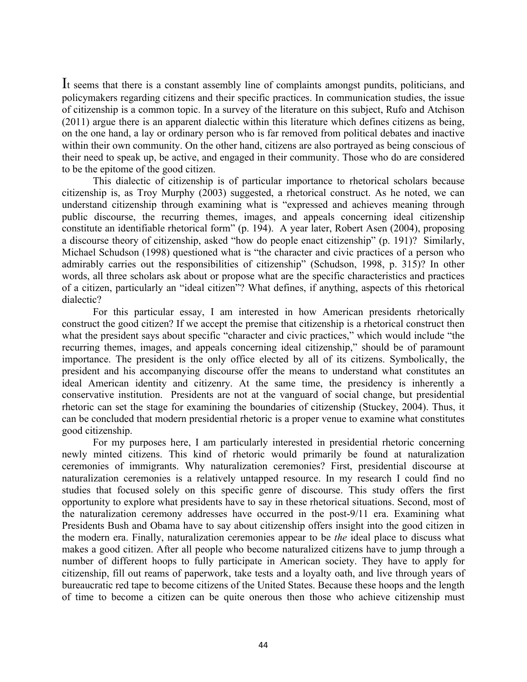It seems that there is a constant assembly line of complaints amongst pundits, politicians, and policymakers regarding citizens and their specific practices. In communication studies, the issue of citizenship is a common topic. In a survey of the literature on this subject, Rufo and Atchison (2011) argue there is an apparent dialectic within this literature which defines citizens as being, on the one hand, a lay or ordinary person who is far removed from political debates and inactive within their own community. On the other hand, citizens are also portrayed as being conscious of their need to speak up, be active, and engaged in their community. Those who do are considered to be the epitome of the good citizen.

This dialectic of citizenship is of particular importance to rhetorical scholars because citizenship is, as Troy Murphy (2003) suggested, a rhetorical construct. As he noted, we can understand citizenship through examining what is "expressed and achieves meaning through public discourse, the recurring themes, images, and appeals concerning ideal citizenship constitute an identifiable rhetorical form" (p. 194). A year later, Robert Asen (2004), proposing a discourse theory of citizenship, asked "how do people enact citizenship" (p. 191)? Similarly, Michael Schudson (1998) questioned what is "the character and civic practices of a person who admirably carries out the responsibilities of citizenship" (Schudson, 1998, p. 315)? In other words, all three scholars ask about or propose what are the specific characteristics and practices of a citizen, particularly an "ideal citizen"? What defines, if anything, aspects of this rhetorical dialectic?

For this particular essay, I am interested in how American presidents rhetorically construct the good citizen? If we accept the premise that citizenship is a rhetorical construct then what the president says about specific "character and civic practices," which would include "the recurring themes, images, and appeals concerning ideal citizenship," should be of paramount importance. The president is the only office elected by all of its citizens. Symbolically, the president and his accompanying discourse offer the means to understand what constitutes an ideal American identity and citizenry. At the same time, the presidency is inherently a conservative institution. Presidents are not at the vanguard of social change, but presidential rhetoric can set the stage for examining the boundaries of citizenship (Stuckey, 2004). Thus, it can be concluded that modern presidential rhetoric is a proper venue to examine what constitutes good citizenship.

For my purposes here, I am particularly interested in presidential rhetoric concerning newly minted citizens. This kind of rhetoric would primarily be found at naturalization ceremonies of immigrants. Why naturalization ceremonies? First, presidential discourse at naturalization ceremonies is a relatively untapped resource. In my research I could find no studies that focused solely on this specific genre of discourse. This study offers the first opportunity to explore what presidents have to say in these rhetorical situations. Second, most of the naturalization ceremony addresses have occurred in the post-9/11 era. Examining what Presidents Bush and Obama have to say about citizenship offers insight into the good citizen in the modern era. Finally, naturalization ceremonies appear to be *the* ideal place to discuss what makes a good citizen. After all people who become naturalized citizens have to jump through a number of different hoops to fully participate in American society. They have to apply for citizenship, fill out reams of paperwork, take tests and a loyalty oath, and live through years of bureaucratic red tape to become citizens of the United States. Because these hoops and the length of time to become a citizen can be quite onerous then those who achieve citizenship must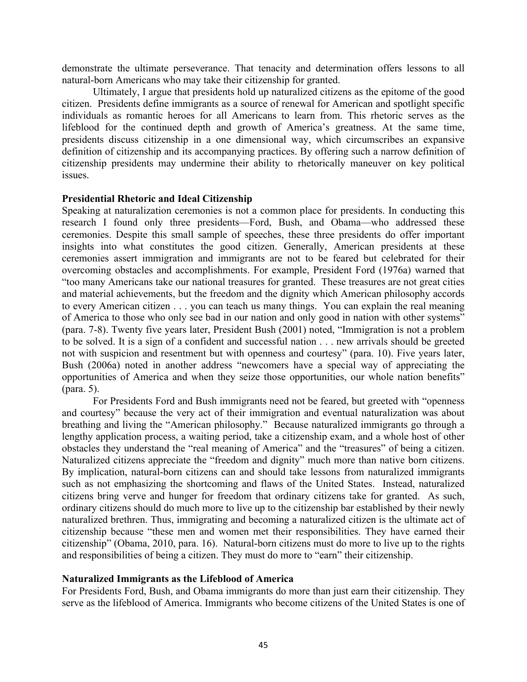demonstrate the ultimate perseverance. That tenacity and determination offers lessons to all natural-born Americans who may take their citizenship for granted.

Ultimately, I argue that presidents hold up naturalized citizens as the epitome of the good citizen. Presidents define immigrants as a source of renewal for American and spotlight specific individuals as romantic heroes for all Americans to learn from. This rhetoric serves as the lifeblood for the continued depth and growth of America's greatness. At the same time, presidents discuss citizenship in a one dimensional way, which circumscribes an expansive definition of citizenship and its accompanying practices. By offering such a narrow definition of citizenship presidents may undermine their ability to rhetorically maneuver on key political issues.

#### **Presidential Rhetoric and Ideal Citizenship**

Speaking at naturalization ceremonies is not a common place for presidents. In conducting this research I found only three presidents—Ford, Bush, and Obama—who addressed these ceremonies. Despite this small sample of speeches, these three presidents do offer important insights into what constitutes the good citizen. Generally, American presidents at these ceremonies assert immigration and immigrants are not to be feared but celebrated for their overcoming obstacles and accomplishments. For example, President Ford (1976a) warned that "too many Americans take our national treasures for granted. These treasures are not great cities and material achievements, but the freedom and the dignity which American philosophy accords to every American citizen . . . you can teach us many things. You can explain the real meaning of America to those who only see bad in our nation and only good in nation with other systems" (para. 7-8). Twenty five years later, President Bush (2001) noted, "Immigration is not a problem to be solved. It is a sign of a confident and successful nation . . . new arrivals should be greeted not with suspicion and resentment but with openness and courtesy" (para. 10). Five years later, Bush (2006a) noted in another address "newcomers have a special way of appreciating the opportunities of America and when they seize those opportunities, our whole nation benefits" (para. 5).

For Presidents Ford and Bush immigrants need not be feared, but greeted with "openness and courtesy" because the very act of their immigration and eventual naturalization was about breathing and living the "American philosophy." Because naturalized immigrants go through a lengthy application process, a waiting period, take a citizenship exam, and a whole host of other obstacles they understand the "real meaning of America" and the "treasures" of being a citizen. Naturalized citizens appreciate the "freedom and dignity" much more than native born citizens. By implication, natural-born citizens can and should take lessons from naturalized immigrants such as not emphasizing the shortcoming and flaws of the United States. Instead, naturalized citizens bring verve and hunger for freedom that ordinary citizens take for granted. As such, ordinary citizens should do much more to live up to the citizenship bar established by their newly naturalized brethren. Thus, immigrating and becoming a naturalized citizen is the ultimate act of citizenship because "these men and women met their responsibilities. They have earned their citizenship" (Obama, 2010, para. 16). Natural-born citizens must do more to live up to the rights and responsibilities of being a citizen. They must do more to "earn" their citizenship.

#### **Naturalized Immigrants as the Lifeblood of America**

For Presidents Ford, Bush, and Obama immigrants do more than just earn their citizenship. They serve as the lifeblood of America. Immigrants who become citizens of the United States is one of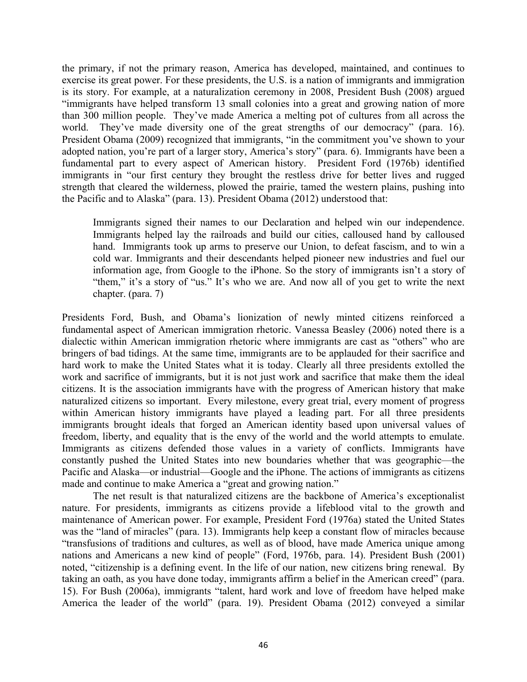the primary, if not the primary reason, America has developed, maintained, and continues to exercise its great power. For these presidents, the U.S. is a nation of immigrants and immigration is its story. For example, at a naturalization ceremony in 2008, President Bush (2008) argued "immigrants have helped transform 13 small colonies into a great and growing nation of more than 300 million people. They've made America a melting pot of cultures from all across the world. They've made diversity one of the great strengths of our democracy" (para. 16). President Obama (2009) recognized that immigrants, "in the commitment you've shown to your adopted nation, you're part of a larger story, America's story" (para. 6). Immigrants have been a fundamental part to every aspect of American history. President Ford (1976b) identified immigrants in "our first century they brought the restless drive for better lives and rugged strength that cleared the wilderness, plowed the prairie, tamed the western plains, pushing into the Pacific and to Alaska" (para. 13). President Obama (2012) understood that:

Immigrants signed their names to our Declaration and helped win our independence. Immigrants helped lay the railroads and build our cities, calloused hand by calloused hand. Immigrants took up arms to preserve our Union, to defeat fascism, and to win a cold war. Immigrants and their descendants helped pioneer new industries and fuel our information age, from Google to the iPhone. So the story of immigrants isn't a story of "them," it's a story of "us." It's who we are. And now all of you get to write the next chapter. (para. 7)

Presidents Ford, Bush, and Obama's lionization of newly minted citizens reinforced a fundamental aspect of American immigration rhetoric. Vanessa Beasley (2006) noted there is a dialectic within American immigration rhetoric where immigrants are cast as "others" who are bringers of bad tidings. At the same time, immigrants are to be applauded for their sacrifice and hard work to make the United States what it is today. Clearly all three presidents extolled the work and sacrifice of immigrants, but it is not just work and sacrifice that make them the ideal citizens. It is the association immigrants have with the progress of American history that make naturalized citizens so important. Every milestone, every great trial, every moment of progress within American history immigrants have played a leading part. For all three presidents immigrants brought ideals that forged an American identity based upon universal values of freedom, liberty, and equality that is the envy of the world and the world attempts to emulate. Immigrants as citizens defended those values in a variety of conflicts. Immigrants have constantly pushed the United States into new boundaries whether that was geographic—the Pacific and Alaska—or industrial—Google and the iPhone. The actions of immigrants as citizens made and continue to make America a "great and growing nation."

The net result is that naturalized citizens are the backbone of America's exceptionalist nature. For presidents, immigrants as citizens provide a lifeblood vital to the growth and maintenance of American power. For example, President Ford (1976a) stated the United States was the "land of miracles" (para. 13). Immigrants help keep a constant flow of miracles because "transfusions of traditions and cultures, as well as of blood, have made America unique among nations and Americans a new kind of people" (Ford, 1976b, para. 14). President Bush (2001) noted, "citizenship is a defining event. In the life of our nation, new citizens bring renewal. By taking an oath, as you have done today, immigrants affirm a belief in the American creed" (para. 15). For Bush (2006a), immigrants "talent, hard work and love of freedom have helped make America the leader of the world" (para. 19). President Obama (2012) conveyed a similar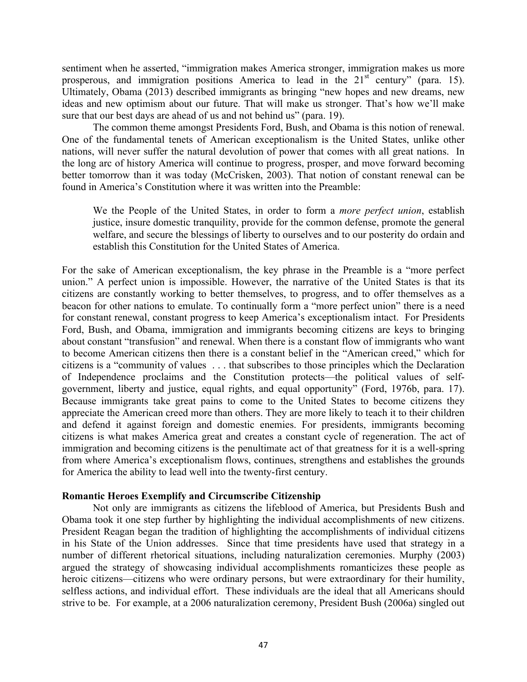sentiment when he asserted, "immigration makes America stronger, immigration makes us more prosperous, and immigration positions America to lead in the  $21<sup>st</sup>$  century" (para. 15). Ultimately, Obama (2013) described immigrants as bringing "new hopes and new dreams, new ideas and new optimism about our future. That will make us stronger. That's how we'll make sure that our best days are ahead of us and not behind us" (para. 19).

The common theme amongst Presidents Ford, Bush, and Obama is this notion of renewal. One of the fundamental tenets of American exceptionalism is the United States, unlike other nations, will never suffer the natural devolution of power that comes with all great nations. In the long arc of history America will continue to progress, prosper, and move forward becoming better tomorrow than it was today (McCrisken, 2003). That notion of constant renewal can be found in America's Constitution where it was written into the Preamble:

We the People of the United States, in order to form a *more perfect union*, establish justice, insure domestic tranquility, provide for the common defense, promote the general welfare, and secure the blessings of liberty to ourselves and to our posterity do ordain and establish this Constitution for the United States of America.

For the sake of American exceptionalism, the key phrase in the Preamble is a "more perfect union." A perfect union is impossible. However, the narrative of the United States is that its citizens are constantly working to better themselves, to progress, and to offer themselves as a beacon for other nations to emulate. To continually form a "more perfect union" there is a need for constant renewal, constant progress to keep America's exceptionalism intact. For Presidents Ford, Bush, and Obama, immigration and immigrants becoming citizens are keys to bringing about constant "transfusion" and renewal. When there is a constant flow of immigrants who want to become American citizens then there is a constant belief in the "American creed," which for citizens is a "community of values . . . that subscribes to those principles which the Declaration of Independence proclaims and the Constitution protects—the political values of selfgovernment, liberty and justice, equal rights, and equal opportunity" (Ford, 1976b, para. 17). Because immigrants take great pains to come to the United States to become citizens they appreciate the American creed more than others. They are more likely to teach it to their children and defend it against foreign and domestic enemies. For presidents, immigrants becoming citizens is what makes America great and creates a constant cycle of regeneration. The act of immigration and becoming citizens is the penultimate act of that greatness for it is a well-spring from where America's exceptionalism flows, continues, strengthens and establishes the grounds for America the ability to lead well into the twenty-first century.

#### **Romantic Heroes Exemplify and Circumscribe Citizenship**

Not only are immigrants as citizens the lifeblood of America, but Presidents Bush and Obama took it one step further by highlighting the individual accomplishments of new citizens. President Reagan began the tradition of highlighting the accomplishments of individual citizens in his State of the Union addresses. Since that time presidents have used that strategy in a number of different rhetorical situations, including naturalization ceremonies. Murphy (2003) argued the strategy of showcasing individual accomplishments romanticizes these people as heroic citizens—citizens who were ordinary persons, but were extraordinary for their humility, selfless actions, and individual effort. These individuals are the ideal that all Americans should strive to be. For example, at a 2006 naturalization ceremony, President Bush (2006a) singled out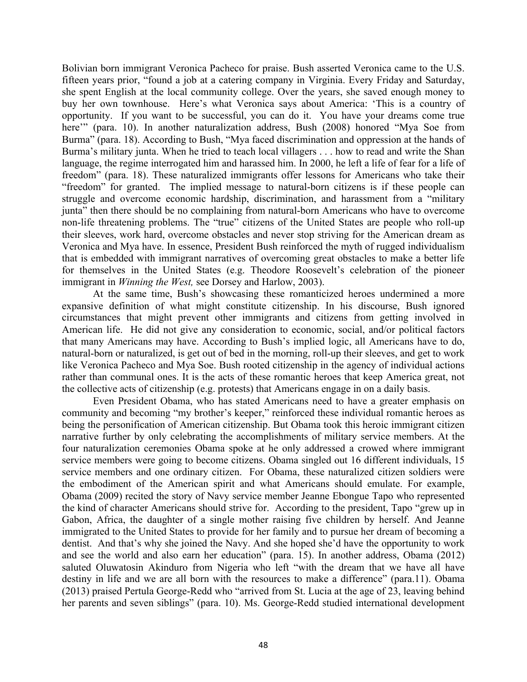Bolivian born immigrant Veronica Pacheco for praise. Bush asserted Veronica came to the U.S. fifteen years prior, "found a job at a catering company in Virginia. Every Friday and Saturday, she spent English at the local community college. Over the years, she saved enough money to buy her own townhouse. Here's what Veronica says about America: 'This is a country of opportunity. If you want to be successful, you can do it. You have your dreams come true here"" (para. 10). In another naturalization address, Bush (2008) honored "Mya Soe from Burma" (para. 18). According to Bush, "Mya faced discrimination and oppression at the hands of Burma's military junta. When he tried to teach local villagers . . . how to read and write the Shan language, the regime interrogated him and harassed him. In 2000, he left a life of fear for a life of freedom" (para. 18). These naturalized immigrants offer lessons for Americans who take their "freedom" for granted. The implied message to natural-born citizens is if these people can struggle and overcome economic hardship, discrimination, and harassment from a "military junta" then there should be no complaining from natural-born Americans who have to overcome non-life threatening problems. The "true" citizens of the United States are people who roll-up their sleeves, work hard, overcome obstacles and never stop striving for the American dream as Veronica and Mya have. In essence, President Bush reinforced the myth of rugged individualism that is embedded with immigrant narratives of overcoming great obstacles to make a better life for themselves in the United States (e.g. Theodore Roosevelt's celebration of the pioneer immigrant in *Winning the West,* see Dorsey and Harlow, 2003).

At the same time, Bush's showcasing these romanticized heroes undermined a more expansive definition of what might constitute citizenship. In his discourse, Bush ignored circumstances that might prevent other immigrants and citizens from getting involved in American life. He did not give any consideration to economic, social, and/or political factors that many Americans may have. According to Bush's implied logic, all Americans have to do, natural-born or naturalized, is get out of bed in the morning, roll-up their sleeves, and get to work like Veronica Pacheco and Mya Soe. Bush rooted citizenship in the agency of individual actions rather than communal ones. It is the acts of these romantic heroes that keep America great, not the collective acts of citizenship (e.g. protests) that Americans engage in on a daily basis.

Even President Obama, who has stated Americans need to have a greater emphasis on community and becoming "my brother's keeper," reinforced these individual romantic heroes as being the personification of American citizenship. But Obama took this heroic immigrant citizen narrative further by only celebrating the accomplishments of military service members. At the four naturalization ceremonies Obama spoke at he only addressed a crowed where immigrant service members were going to become citizens. Obama singled out 16 different individuals, 15 service members and one ordinary citizen. For Obama, these naturalized citizen soldiers were the embodiment of the American spirit and what Americans should emulate. For example, Obama (2009) recited the story of Navy service member Jeanne Ebongue Tapo who represented the kind of character Americans should strive for. According to the president, Tapo "grew up in Gabon, Africa, the daughter of a single mother raising five children by herself. And Jeanne immigrated to the United States to provide for her family and to pursue her dream of becoming a dentist. And that's why she joined the Navy. And she hoped she'd have the opportunity to work and see the world and also earn her education" (para. 15). In another address, Obama (2012) saluted Oluwatosin Akinduro from Nigeria who left "with the dream that we have all have destiny in life and we are all born with the resources to make a difference" (para.11). Obama (2013) praised Pertula George-Redd who "arrived from St. Lucia at the age of 23, leaving behind her parents and seven siblings" (para. 10). Ms. George-Redd studied international development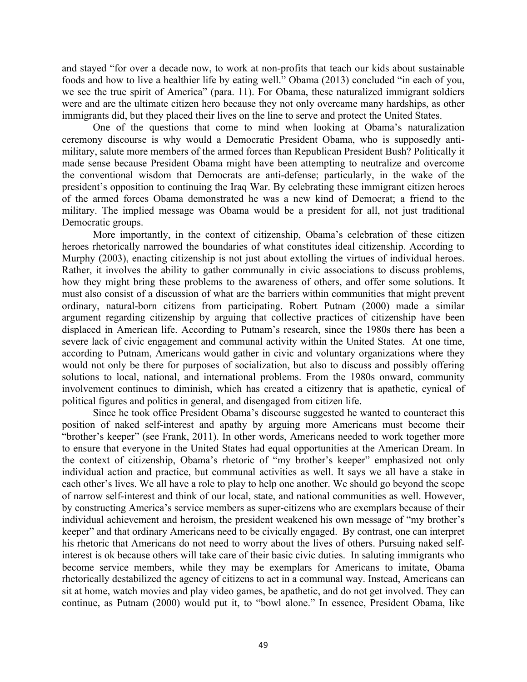and stayed "for over a decade now, to work at non-profits that teach our kids about sustainable foods and how to live a healthier life by eating well." Obama (2013) concluded "in each of you, we see the true spirit of America" (para. 11). For Obama, these naturalized immigrant soldiers were and are the ultimate citizen hero because they not only overcame many hardships, as other immigrants did, but they placed their lives on the line to serve and protect the United States.

One of the questions that come to mind when looking at Obama's naturalization ceremony discourse is why would a Democratic President Obama, who is supposedly antimilitary, salute more members of the armed forces than Republican President Bush? Politically it made sense because President Obama might have been attempting to neutralize and overcome the conventional wisdom that Democrats are anti-defense; particularly, in the wake of the president's opposition to continuing the Iraq War. By celebrating these immigrant citizen heroes of the armed forces Obama demonstrated he was a new kind of Democrat; a friend to the military. The implied message was Obama would be a president for all, not just traditional Democratic groups.

More importantly, in the context of citizenship, Obama's celebration of these citizen heroes rhetorically narrowed the boundaries of what constitutes ideal citizenship. According to Murphy (2003), enacting citizenship is not just about extolling the virtues of individual heroes. Rather, it involves the ability to gather communally in civic associations to discuss problems, how they might bring these problems to the awareness of others, and offer some solutions. It must also consist of a discussion of what are the barriers within communities that might prevent ordinary, natural-born citizens from participating. Robert Putnam (2000) made a similar argument regarding citizenship by arguing that collective practices of citizenship have been displaced in American life. According to Putnam's research, since the 1980s there has been a severe lack of civic engagement and communal activity within the United States. At one time, according to Putnam, Americans would gather in civic and voluntary organizations where they would not only be there for purposes of socialization, but also to discuss and possibly offering solutions to local, national, and international problems. From the 1980s onward, community involvement continues to diminish, which has created a citizenry that is apathetic, cynical of political figures and politics in general, and disengaged from citizen life.

Since he took office President Obama's discourse suggested he wanted to counteract this position of naked self-interest and apathy by arguing more Americans must become their "brother's keeper" (see Frank, 2011). In other words, Americans needed to work together more to ensure that everyone in the United States had equal opportunities at the American Dream. In the context of citizenship, Obama's rhetoric of "my brother's keeper" emphasized not only individual action and practice, but communal activities as well. It says we all have a stake in each other's lives. We all have a role to play to help one another. We should go beyond the scope of narrow self-interest and think of our local, state, and national communities as well. However, by constructing America's service members as super-citizens who are exemplars because of their individual achievement and heroism, the president weakened his own message of "my brother's keeper" and that ordinary Americans need to be civically engaged. By contrast, one can interpret his rhetoric that Americans do not need to worry about the lives of others. Pursuing naked selfinterest is ok because others will take care of their basic civic duties. In saluting immigrants who become service members, while they may be exemplars for Americans to imitate, Obama rhetorically destabilized the agency of citizens to act in a communal way. Instead, Americans can sit at home, watch movies and play video games, be apathetic, and do not get involved. They can continue, as Putnam (2000) would put it, to "bowl alone." In essence, President Obama, like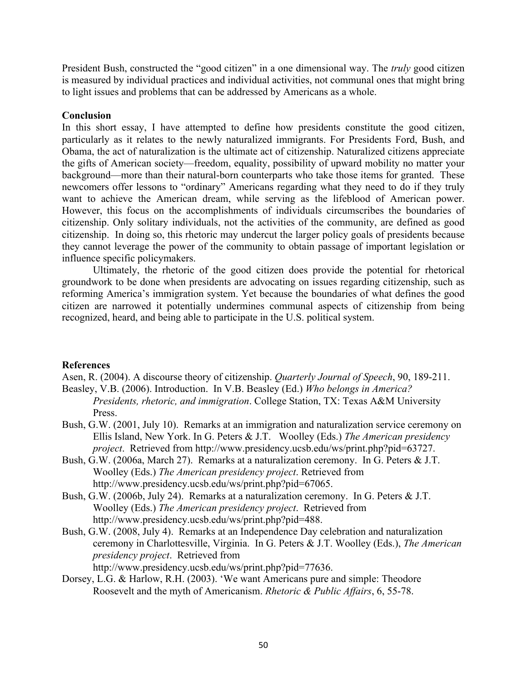President Bush, constructed the "good citizen" in a one dimensional way. The *truly* good citizen is measured by individual practices and individual activities, not communal ones that might bring to light issues and problems that can be addressed by Americans as a whole.

#### **Conclusion**

In this short essay, I have attempted to define how presidents constitute the good citizen, particularly as it relates to the newly naturalized immigrants. For Presidents Ford, Bush, and Obama, the act of naturalization is the ultimate act of citizenship. Naturalized citizens appreciate the gifts of American society—freedom, equality, possibility of upward mobility no matter your background—more than their natural-born counterparts who take those items for granted. These newcomers offer lessons to "ordinary" Americans regarding what they need to do if they truly want to achieve the American dream, while serving as the lifeblood of American power. However, this focus on the accomplishments of individuals circumscribes the boundaries of citizenship. Only solitary individuals, not the activities of the community, are defined as good citizenship. In doing so, this rhetoric may undercut the larger policy goals of presidents because they cannot leverage the power of the community to obtain passage of important legislation or influence specific policymakers.

Ultimately, the rhetoric of the good citizen does provide the potential for rhetorical groundwork to be done when presidents are advocating on issues regarding citizenship, such as reforming America's immigration system. Yet because the boundaries of what defines the good citizen are narrowed it potentially undermines communal aspects of citizenship from being recognized, heard, and being able to participate in the U.S. political system.

### **References**

Asen, R. (2004). A discourse theory of citizenship. *Quarterly Journal of Speech*, 90, 189-211.

- Beasley, V.B. (2006). Introduction. In V.B. Beasley (Ed.) *Who belongs in America? Presidents, rhetoric, and immigration*. College Station, TX: Texas A&M University Press.
- Bush, G.W. (2001, July 10). Remarks at an immigration and naturalization service ceremony on Ellis Island, New York. In G. Peters & J.T. Woolley (Eds.) *The American presidency project*. Retrieved from http://www.presidency.ucsb.edu/ws/print.php?pid=63727.
- Bush, G.W. (2006a, March 27). Remarks at a naturalization ceremony. In G. Peters & J.T. Woolley (Eds.) *The American presidency project*. Retrieved from http://www.presidency.ucsb.edu/ws/print.php?pid=67065.
- Bush, G.W. (2006b, July 24). Remarks at a naturalization ceremony. In G. Peters & J.T. Woolley (Eds.) *The American presidency project*. Retrieved from http://www.presidency.ucsb.edu/ws/print.php?pid=488.
- Bush, G.W. (2008, July 4). Remarks at an Independence Day celebration and naturalization ceremony in Charlottesville, Virginia. In G. Peters & J.T. Woolley (Eds.), *The American presidency project*. Retrieved from http://www.presidency.ucsb.edu/ws/print.php?pid=77636.
- Dorsey, L.G. & Harlow, R.H. (2003). 'We want Americans pure and simple: Theodore Roosevelt and the myth of Americanism. *Rhetoric & Public Affairs*, 6, 55-78.